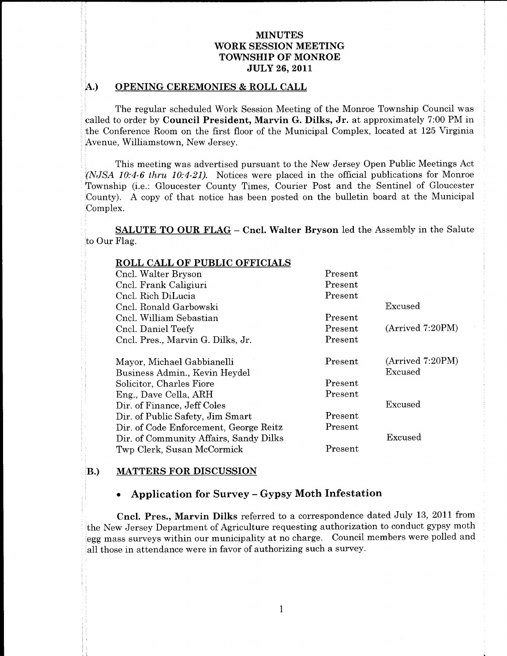### OPENING CEREMONIES & ROLL CALL  $\mathcal{F}$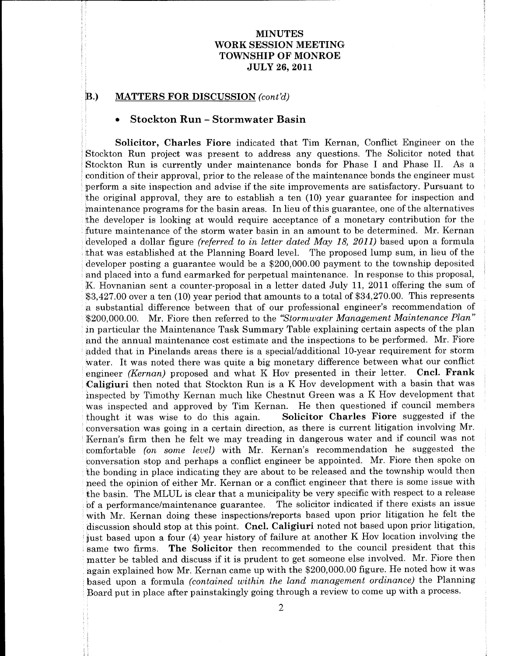# MINUTES WORK SESSION MEETING TOWNSHIP OF MONROE **JULY 26, 2011** WORK SESSION MEL<br>
TOWNSHIP OF MON<br>
JULY 26, 2011<br>
ATTERS FOR DISCUSSION (cont'd)<br>
Steelten Bun Stermuneter Begin

# $\,$  MATTERS FOR DISCUSSION (cont'd) a the B.

the

Mr

based on the control year

response

another

Solicitor president

tabled

come and the company

he are the contract of the contract of

uponBoard

with the contract of the contract of the contract of the contract of the contract of

monetary and the contract of the contract of

the contract of the contract of the contract of the contract of the contract of the contract of the contract of

professional contracts and contracts are all the contracts of the contracts of the contracts of

## Stockton Run - Stormwater Basin

Solicitor, Charles Fiore indicated that Tim Kernan, Conflict Engineer on the Stockton Run project was present to address any questions The WORK SENSURS TOWARD TO THE SAMUES TO THE SAMUES TO THE SAMUES TO THE SAMUES TO THE SAMUES TO THE SAMUES OF THE SAMUES OF THE SAMUES OF THE SAMUES OF THE SAMUES OF THE SAMUES OF THE SAMUES OF THE SAME IN THE SAME IN THE SA **Solution 1991. The Control of Activity (FIRSE SECURE SECURE SECURE SECURE SECURE SECURE SECURE SECURE SECURE SECURE SECURE SECURE SECURE SECURE SECURE SECURE SECURE SECURE SECURE SECURE SECURE SECURE SECURE SECURE SECURE** manitations programs for the basin meas. In the of this quantum, one of the alternatives and the developer is leaden on the atomic distance one of the material scheme of the stream with the derivation for the stream with WORK SENDITENT TOWER TO THE CONDUCT TO THE CONDUCT TO THE CONDUCT TO THE CONDUCT TO THE CONDUCT TO THE CONDUCT TO THE CONDUCT TO THE CONDUCT TO THE CONDUCT TO THE CONDUCT TO THE CONDUCT TO THE CONDUCT TO THE CONDUCT TO TH MINUTEES (WIRTHEST 1978) (MINUTEES (WIRTHEST)<br>
YOTH SENSION MUNITENE (TOWER 1978) (TOWER 1978) (TOWER 1978) (TOWER 1978) (TOWER 1978) (Sensitive of the Minutes of the Minutes of the Minutes of the Minutes of the Minutes o **WORTHER CONSULTERS FOR A CONSULTERS FOR A CONSULTER CONSULTER CONSULTER CONSULTER CONSULTER CONSULTER CONSULTER CONSULTER CONSULTERS FOR A CONSULTER CONSULTER CONSULTER CONSULTER CONSULTER CONSULTER CONSULTER CONSULTER C** WORK SENSURS TOWARD TOWARD TOWARD TOWARD TOWARD TOWARD TOWARD TOWARD TOWARD TOWARD TOWARD TOWARD TOWARD TOWARD TOWARD TOWARD TOWARD TOWARD TOWARD TOWARD TOWARD TOWARD TOWARD TOWARD TOWARD TOWARD TOWARD TOWARD TOWARD TOWAR **NOW THE SECURE TOWARD SETTING THE SECURE TRANSPORTEENT (NOTIFIES TO INTERFERENCE (NOTE) THE SECURE SECURE TRANSPORTEENT (NOTE) THE SECURE SECURE TRANSPORT OF A SHOW IN THE SECURE TRANSPORT (NOTE) THE SECURE TRANSPORT (NO WORK SENDITES THE ACCESS CONTRACT CONTRACT CONTRACT CONTRACT CONTRACT CONTRACT CONTRACT CONTRACT CONTRACT CONTRACT CONTRACT CONTRACT CONTRACT CONTRACT CONTRACT CONTRACT CONTRACT CONTRACT CONTRACT CONTRACT CONTRACT CONTRA WORK SENDITES (TOTAGET AND ASSUMPTER (TOTAGETTATION)**<br>TOWNSHIT OF NEOTROGENETIKO (TOTAGETTATION) (TOTAGETTATION) (TOTAGETTATION) (TOTAGETTATION) (SECRETTATION) (SECRETTATION) (SECRETTATION) (SECRETTATION) (SECRETTATION) **WORKSHOTEN: WORKSHOTEN: NEW AND ANTERNATION CONSUMERATION: TWANDERS INTO AN ANTERNATION** (THE STATE AND INTERNATION (THE STATE AND AN ANTERNATION CONSUMER) AND INTERNATION CONSULTER (SECOND RELAT AND AN ANTERNATION WORK SENSURTES<br>
WORK SENSURTES<br>
TOWNSHED OF MONEON ESSURTES<br>
TOWNSHED OF MONEON CONTROL COMPRODUMENT CONTROL COMPRODUMENT (THE SURVEY CONTROL COMPRODUMENT (SURVEY) ASSURTED TO A SURVEY INTO A SURVEY CONTROL COMPRODUMENT ( **THE MANUSIMUM CONTROL CONSUMERATION CONTROL CONSUMERATION CONTROL CONSUMERATION CONSUMERATION CONSUMERATION CONSUMERATION CONSUMERATION CONSUMERATION CONSUMERATION CONSUMERATION CONSUMERATION CONSUMERATION CONSUMERATION** WORK SENDITES<br>
TOWER IN CONTRACT TO THE CONDUCT STATE OF THE VALUE OF A STATE OF THE VALUE OF A STATE OF A STATE OF A STATE OF A STATE OF A STATE OF A STATE OF A STATE OF A STATE OF A STATE OF A STATE OF A STATE OF A STAT **NORTHESE SECURE AND ACTION CONTROL CONTROL CONTROL CONTROL CONTROL CONTROL CONTROL CONTROL CONTROL CONTROL CONTROL CONTROL CONTROL CONTROL CONTROL CONTROL CONTROL CONTROL CONTROL CONTROL CONTROL CONTROL CONTROL CONTROL C** WORK SENIOUS TRANSFER TOWARD (THE CONDUCT) THE CONTRACT CONTRACT CONTRACT CONTRACT CONTRACT CONTRACT CONTRACT CONTRACT CONTRACT CONTRACT CONTRACT CONTRACT CONTRACT CONTRACT CONTRACT CONTRACT CONTRACT CONTRACT CONTRACT CON • Stockton Run – Sto<br>Solicitor, Charles Fiore<br>Stockton Run project was prese<br>Stockton Run is currently under<br>condition of their approval, prior t<br>perform a site inspection and adv<br>the original approval, they are to<br>mainte **WORK SENDITES TOWARD (FIGURE 2008)**<br>TOWARD TOWARD (THE STATE OF THE SAMPLES TOWARD (THE STATE OF THE SAMPLES CRIME ASSESS) (FIGURE 2008) (FIGURE 2008)<br>SECRETING TOR INSCRETING TO FROM A SOLUTION OF THE SAMPLES CRIME ASSE **NOTE ASSEMBATE CONSULTER SUPPLY ASSEMBATE SUPPLY ASSEMBATE SUPPLY ASSEMBATE CONSULTER SUPPLY ASSEMBATE CONSULTER SUPPLY ASSEMBATE CONSULTER SUPPLY ASSEMBATE CONSULTER SUPPLY ASSEMBATE CONSULTER SUPPLY ASSEMBATE CONSULTER** B.) MATTERS FOR DISCUSSION (could)<br>
Source More Thai in Section 1.5 (see Four Paris 1.6 (see Four Paris 1.6 (see Four Paris 1.6 (see Four Paris 1.6 (see Four Paris 1.6 (see Four Paris 1.6 (see Four Paris 1.6 (see Four Par MINUTES<br>
MINUTES<br>
MINUTES<br>
MINUTES<br>
MINUTES<br>
MINUTES<br>
MINUTES<br>
JULY 26, 2011<br>
HIDAY OF MONROE<br>
JULY 26, 2011<br>
imation of Mongols for Phase I and Phase II. As a indicated that the reminerance bonds the empire<br>remutation in **EA COMPAGNEON DISCURSION CONFIGMERIES AND ANTISED ASSOVE CONFIGMENT and ESSOVE CONFIGMENT EXPERIENCE AND ASSOCIATE AND ASSOCIATE AND ASSOCIATE AND ASSOCIATE AND ASSOCIATE AND ASSOCIATE AND ASSOCIATE AND ASSOCIATE AND ASS** WORK SENDITES<br>
TOWER IN CONTRACT TO THE SUCTIVE TO THE SUCTIVE TO THE SUCH THE SUCH THE SUCH THE SUCH ASSEMENCT ON THE SUCH ASSEME THAT A SUCH A SUCH ASSEME THAT A SUCH A SUCH A SUCH A SUCH A SUCH A SUCH A SUCH A SUCH A S Solicito<br>n Run<br>n Run maintenance programs for the basin areas. In lieu of this guarantee, one of the alternatives the developer is looking at would require acceptance of a monetary contribution for the developer posting a guarantee would be a \$200,000.00 payment to the township deposited<br>and placed into a fund earmarked for perpetual maintenance. In response to this proposal, \$200,000.00. Mr. Fiore then referred to the "Stormwater Management Maintenance Plan"<br>in particular the Maintenance Task Summary Table explaining certain aspects of the plan water. It was noted there was quite a big monetary difference between what our conflict<br>engineer *(Kernan)* proposed and what K Hov presented in their letter. **Cncl. Frank**<br>Caligiuri then noted that Stockton Run is a K Hov Kernan's firm then he felt we may treading in dangerous water and if council was not comfortable (on some level) with Mr. Kernan's recommendation he suggested the need the opinion of either Mr. Kernan or a conflict engineer that there is some issue with<br>the basin. The MLUL is clear that a municipality be very specific with respect to a release<br>of a performance/maintenance guarantee. MINUTES<br>
WORK SEESION MEETING<br>
TOWNSHE TOWNERS<br>
TOWNSHE TOWNERS<br>
TOWNSHE OF MONKOE SURVEY OF MONKOE SURVEY OF MONKOE SURVEY OF MONKOE SURVEY (FOR MONKOE SURVEY) (FOR MONKOE 1110 SURVEY) (FOR SOLUTION THE SOLUTION TO the r MINUTES WOORK SESSION MEETING TO MONE OF MANUFIES TO A CONTROL TOWNSHIP OF MONE AND TOWALLY AS 2011 TO MANUFIES FOR DISCUSSION (cont/i) UT12 26, 2011 TOWARD COMPASS TO MANUFIES FOR DISCUSSION (cont/i) that in the control NONTES TROWN 1993 (NONTES TRIVE (NONTES TRIVE (NONTES TRIVE (NONTES TRIVE (NONTES TRIVE) (NONTES TRIVE (NONTES TRIVE) (NONTES TRIVE) (NONTES TRIVE) (NONTES TRIVE) (NONTES TRIVE) (NONTES TRIVE) (NONTES TRIVE) (NONTES TRIVE the that is a said to the hat is a said to and we say the name is a said to denote the hand we say the same flict in the same was the same with the same with the same with the same was sing the same of the same was sing th **VOLUME SECTION CONTROLLED SECTION CONTROLLED SECTION CONTROLLED SECTION CONTROLLED SECTION SECTION AND SECTION CONTROLLED SECTION AND SECTION SECTION AND SECTION SECTION AND SECTION AND SECTION AND SECTION AND SECTION AN NET AT A CONSIDERATE CONSIDERATE AS SECOND AND A SECOND MANUSION SURFACES TOWARD TOWARD TO THE SECOND CONSIDERATE (SECOND AND A CONSIDERATE AND A CONSIDERATE AND A CONSIDERATE AND A CONSIDERATE AND A CONSIDER TOWARD TOWA THE SECTION CONTRACT SECTION CONTRACT SECTION CONTRACT SECTION CONTRACT SECTION CONTRACT SECTION AND SECTION AND SECTION AND SECTION AND SECTION AND SECTION AND SECTION AND SECTION AND SECTION AND SECTION AND SECTION AND TOWER SECTION**<br> **CONSULTER**<br> **CONSULTER**<br> **CONSULTER**<br> **CONSULTER**<br> **CONSULTER**<br> **CONSULTER**<br> **CONSULTER**<br> **CONSULTER**<br> **CONSULTER**<br> **CONSULTER**<br> **CONSULTER**<br> **CONSULTER**<br> **CONSULTER**<br> **CONSULTER**<br> **CONSULTER**<br> **CONSULTE NOTE ASSESS AND MANUTES (SEE ASSESS)** NEETING (SEE AND MANUTES (SEE AND MANUTES (SEE AND MANUTES (SEE AND MANUTES (SEE AND MANUTES (SEE AND MANUTES (SEE AND MANUTES (SEE AND MANUTES (SEE AND MANUTES (SEE AND MANUTES (SEE **INSURATE CONTRACT CONTRACT (FIGURE 1998)**<br>**INSURATE CONTRACT CONTRACT CONTRACT CONTRACT (FIGURE 200)**<br>**INSURATE CONTRACTS CONTRACTS CONTRACTS CONTRACTS CONTRACTS CONTRACTS CONTRACTS CONTRACTS CONTRACTS CONTRACTS CONTRACT** WORK SENDITENT TOWER TO THE CONDUCT SURFACE TO THE CONDUCT TO THE CONDUCT TO THE CONDUCT TO THE CONDUCT SURFACE OF THE CONDUCT SURFACE OF THE CONDUCT SURFACE OF THE CONDUCT SURFACE OF THE CONDUCT SURFACE OF THE CONDUCT SU **EVALUES FOR AN ANTIFICIAL CONSUMERATION CONTROL CONSUMERATION CONTROL CONTROL CONTROL CONTROL CONTROL CONTROL CONTROL CONTROL CONTROL CONTROL CONTROL CONTROL CONTROL CONTROL CONTROL CONTROL CONTROL CONTROL CONTROL CONTRO** WIRK MINITES SCHOOL MONETAINS (WINCHER)<br>
YOUK MINISTERS (CONTROL) TOWNSHIP (WINCHER)<br>
TOWNSHIP (WINCHER)<br> **B.** SOMETIERS FOR DISCUSSION (read)<sup>1</sup><br> **B.** Sometion Rame Conflict Explicit and the solution of the solution of t MNUTES WORK SESSION METTING TO NONCE THE CONSIDERATION (NORTHER PO FONDATION TO THAT IS A SUIT AN ANTERE SPORE ISSUE (SOLUMBATION FOR A SUIT AND A SUIT AND A SUIT AND A SUIT AND A SUIT AND A SUIT AND A SUIT AND A SUIT AND WORK SENSURS<br>TOWARD TOWARD TOWARD TOWARD TOWARD TOWARD TOWARD TOWARD TOWARD TOWARD TOWARD TOWARD TOWARD TOWARD TOWARD TOWARD TOWARD TOWARD TOWARD TOWARD TOWARD TOWARD TOWARD SERVICES TO RELAT A SUBMISSION CONTROL TOWARD S **TOWER SECTION**<br> **POINTERE SECTION CONSUMPORTENCION**<br> **POINTERE SET AND TOWENTATION CONSUMPORTENCION CONSUMPORTENCION CONSUMPORTENCION (FOR ASSAULT)**<br> **P. PARTICULAR CONSUMPORTENCION CONSUMPORTENCION CONSUMPORTENCION CO MINITES WASHING SECTION**<br>**SUBMIC SECTION**<br>**SUBMIC SECTION SECTION**<br>**TOWER SECTION STEP ON NOON SUBMIC SECTION SECTION SECTION SECTION AND SECTION AND RESPONSED (control)<br><b>EXECTION AND RESPONSED SECTION SECTION SECTION SE** 3200,0000. Mr. Flore then refrects to the "Slowmouter Memogement Manitenzone Plon"<br>is ny myricular the Minitenzone Task Summary Table explaining certain aspects of the plan<br>and the annual maintenance cate stimates and the VORK SINGURES CONDUCTED TRANSFORMATION (FOR ASSESSION MEETING)<br>
YOUK SINGURE TOWARD TOWARD TOWARD (FOR ASSESSION CONTRACT) TOWARD TOWARD TOWARD (FOR A SAMEL TOWARD TOWARD TOWARD TOWARD TOWARD TOWARD TOWARD TOWARD TOWARD T NINCEDS FITNS FITS STINCTES FITNE STATISTIC STATES FITNE STATISTIC STATES FITNE STATISTIC TOWAY AND THE SECURE TRAFFIC TO CONSULTER THE ASSESS ON THE SECURE TRAFFIC SECURE TRAFFIC SECURE TRAFFIC SECURE TRAFFIC SECURE TRAF **NORTHESE TON CONTROL CONTROL CONTROL CONTROL CONTROL CONTROL CONTROL CONTROL CONTROL CONTROL CONTROL CONTROL CONTROL CONTROL CONTROL CONTROL CONTROL CONTROL CONTROL CONTROL CONTROL CONTROL CONTROL CONTROL CONTROL CONTROL**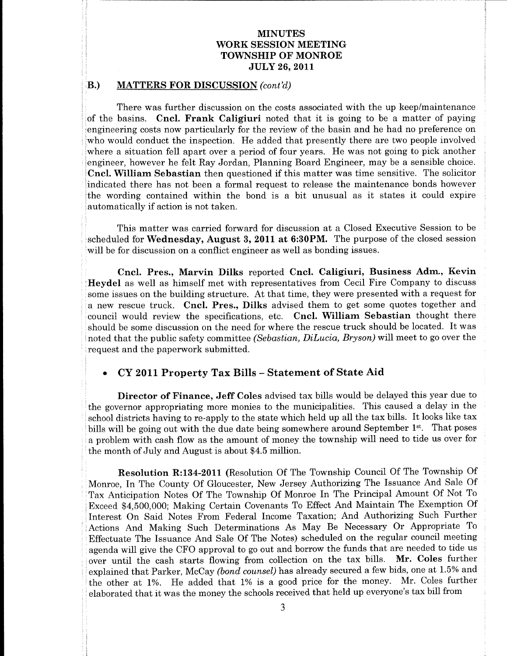## MINUTES **MINUTES<br>WORK SESSION MEETING** TOWNSHIP OF MONROE **JULY 26, 2011** MINUTES

## MATTERS FOR DISCUSSION (cont'd)

the contract of the contract of the contract of the contract of the contract of the contract of the contract of<br>The contract of the contract of the contract of the contract of the contract of the contract of the contract o

noted by the contract of the contract of the contract of the contract of the contract of the contract of the contract of the contract of the contract of the contract of the contract of the contract of the contract of the c public control of the control of

Or

that

R

council

There was further discussion on the costs associated with the up keep/maintenance of the basins. Cncl. Frank Caligiuri noted that it is going to be a matter of paying engineering costs now particularly for the review of the basin and he had no preference on

**WORK SECOND TOWARD TOWARD TOWARD TOWARD TOWARD TOWARD TOWARD TOWARD TOWARD TOWARD TOWARD TOWARD TOWARD TOWARD TOWARD TOWARD TOWARD TOWARD TOWARD TOWARD TOWARD TOWARD TOWARD TOWARD TOWARD TOWARD TOWARD TOWARD TOWARD TOWAR WORK SERVICTES**<br>
TOWNSHITYS.<br>
TOWNSHITYS (TOWNSHITYS) (TOWNSHITYS) (TOWNSHITYS) (TOWNSHITYS) (TOWNSHITYS) (TOWNSHITYS) (TOWNSHITY OF MONDADIAL)<br>
1.) MATTERS FOR DIRECTS (2002)<br>
1.) MATTERS FOR DIRECTS (2002)<br>
1.) MATTERS **WORK SERVICTES**<br> **TOWNSHITYS TOWNSHITYS (TOWNSHITYS)**<br> **TOWNSHITYS (TOWNSHITYS)**<br> **TOWNSHITYS (TOWNSHITYS)**<br> **TOWNSHITYS)**<br> **TOWNSHITYS (TOWNSHITYS)**<br> **TOWNSHITYS)**<br> **TOWNSHITYS (TOWNSHITYS)**<br> **CONNECTION (For Fig. 1999)** WORE SMINITENT TO THE MANUSTRY (SEE THE MANUSTRY CONTINUES) TO THE MANUSTRY (SEE THE WAS STRUCT TO DISCUSSION CASES)<br>
2. BATTEENS POIN DISCUSSION CASES)<br>
2. BATTEENS POIN DISCUSSION CASES)<br>
2. BATTEENS POIN DISCUSSION CAS **EVALUATE SET AND THE SET ASSEMBLED FOR A SET AND THE SET AND ANOTHER SET AND INTEREST CONSULTER.**<br>
There was further discussion and or sent associated with the use hospitalizations of the set and the set are set as the s **WORK SERVICTES**<br>
TOWNSHITYS TOWNSHITYS TOWNSHITYS TOWNSHITYS TOWNSHITYS TOWNSHITYS TOWNSHITY OF MONERATOR TOWNSHITY OF MONERATOR<br>
1. HATTERS FOR DISCUSSION (wev)<br>
1. MATTERS FOR DISCUSSION (wev)<br>
1. HATTERS FOR DISCUSSIO **WONTERS TOWERS (WATERS TOWERFING TOWERFING TOWERFING TOWNSHIT OF MONERATOR TOWNSHIT OF MONERATOR CONSUMPTION TO MONERATOR (1)**<br>
TOWNSHIT OF MONERATOR CONSULTS (1) the specific state is a good to be a more of particular s **VOLUME SET ASSEMBATIVES CONTROLLED SET ASSEMBATIVES CONTROLLED SET ASSEMBATIVES CONTROLLED SET AS A CONTROLLED SET AS A CONTROLLED SET AS A CONTROLLED SET AS A CONTROLLED SET AS A CONTROLLED SET AS A CONTROLLED SET AS A NOTIFY ASSEMBATIVES CONTRACT CONSULTERS:**<br> **TOWNSHIP OF MONERAT** CONTRACT CONTRACT CONTRACT CONTRACT CONTRACT CONTRACT CONTRACT CONTRACT CONTRACT CONTRACT CONTRACT CONTRACT CONTRACT CONTRACT CONTRACT CONTRACT CONTRACT CO **WORK SERVICTES**<br> **TOWNSHITYS TOWNSHITYS (TOWNSHITYS)**<br> **TOWNSHITYS (TOWNSHITYS)**<br> **TOWNSHITYS (TOWNSHITYS)**<br> **TOWNSHITYS)**<br> **D.** MATTERS POR IDENTIFIES (EXCUSSED) (Now 19)<br> **D.** Here we find the first of the same of peri **WORK SIMPLETS**<br> **TOWNSHIPS TOWNSHIPS TOWNSHIPS TOWNSHIPS TOWNSHIPS TOWNSHIPS TOWNSHIPS TOWNSHIPS TOWNSHIPS TOWNSHIPS TOWNSHIPS TOWNSHIPS TOWNSHIPS TOWNSHIPS TOWNSHIPS TOWNSHIPS TOWNSHIPS TOWNSHIPS TOWNSHIPS TOWNSHIPS TOW** VOORE MINUTES 2ESTING.<br>
YOURE MINUTES 2ESTING.<br>
YOUNESEE ON BOOTSING 2ESTING.<br>
YOUNESEE ON BOOTSING 2ESTING.<br>
YOUNESEE ON BOOTSING 2001) AND ARR (2001) AND ARR (2001) AND ARR (2001) AND ARR (2001) AND ARR (2001) AND ARR ( **EVALUATE SET CONTINUES CONTRACTS CONTRACTS CONTRACTS CONTRACTS CONTRACTS CONTRACTS CONTRACTS CONTRACTS CONTRACTS CONTRACTS CONTRACTS CONTRACTS CONTRACTS CONTRACTS CONTRACTS CONTRACTS CONTRACTS CONTRACTS CONTRACTS CONTRAC WORK SERVICTES**<br>
TOWNSHITYS TOWNSHITYS TOWNSHITYS TOWNSHITYS TOWNSHITYS TOWNSHITYS TOWNSHITY OF MONERATOR CONNECTIVE SERVICE SOLUTION (1) The mean well formed that the property of the same specifical terms in the control VOIDE SERVICES SERVICES SERVICES SERVICES SERVICES SERVICES SERVICES SERVICES SERVICES SERVICES SERVICES SERVICES SERVICES SERVICES SERVICES SERVICES SERVICES SERVICES SERVICES SERVICES SERVICES SERVICES SERVICES SERVICES **EVALUATE SET CONTINUES CONTRACTS CONTRACTS CONTRACTS CONTRACTS CONTRACTS CONTRACTS CONTRACTS CONTRACTS CONTRACTS CONTRACTS CONTRACTS CONTRACTS CONTRACTS CONTRACTS CONTRACTS CONTRACTS CONTRACTS CONTRACTS CONTRACTS CONTRAC EQ.** MATTERS FOR DISCUSSION over 2011.<br> **Clear the contribution of the state and a controller interest and clear the state and state of a matter of physicistic particle in the controller of the state of physicistic parti** VOOL SENIOUS 2000 ENGINEERS CONTINUES TO MANUAL CONTINUES TO MANUAL CONTINUES TO MANUAL CONTINUES TO MANUAL ARE CONTINUES TO MANUAL ARE CONTINUES TO THE SERVE AND A SUBMISSION (See CONTINUES) TO MANUAL ARE CONTINUES TO TH **WORK SIMPLETS**<br> **TOWNSHIPS TOWNSHIPS TOWNSHIPS TOWNSHIPS TOWNSHIPS TOWNSHIPS TOWNSHIPS TOWNSHIPS TOWNSHIPS TOWNSHIPS TOWNSHIPS TOWNSHIPS TOWNSHIPS TOWNSHIPS TOWNSHIPS TOWNSHIPS TOWNSHIPS TOWNSHIPS TOWNSHIPS TOWNSHIPS TOW WORK SIMENTES TOWARDS (TOWARDS)**<br>**TOWARDS TOWARDS (TOWARDS)**<br>**TOWARDS TOWARDS (TOWARDS)**<br>**TOWARDS (TOWARDS)**<br>**TOWARDS (TOWARDS)**<br>**TOWARDS (TOWARDS)**<br>**TOWARDS (TOWARDS)**<br>**TOWARDS (TOWARDS)**<br>**TOWARDS (TOWARDS)**<br>**TOWARDS (T WORK SIMPLETS**<br> **TOWNSHIPS**<br> **TOWNSHIPS**<br> **TOWNSHIPS**<br> **TOWNSHIPS**<br> **TOWNSHIPS**<br> **TOWNSHIPS**<br> **TOWNSHIPS**<br> **TOWNSHIPS**<br> **TOWNSHIPS**<br> **TOWNSHIPS**<br> **TOWNSHIPS**<br> **POSSIBES 1026 (2013)**<br> **Region of the state and intermediate** means and the phase same, boundary and the phase of the state of the state of the phase of the person of Finance, Jeff Coles advised tax bills would be delayed this year due to the governor appropriating more moins to the VOORE MINUTES METALS.<br>
YOURE MINUTES METALS.<br>
TOWNSHER ON BUILD ASSEMULTS.<br>
TOWNSHER ON BOOTSING<br>
TOWNSHER ON BOOTSING<br>
TOWNSHER ON BOOTSING<br>
TOWNSHER ON BOOTSING<br>
The main further discussion as the rest associates with t **VOICE SECTION CONTRACTS CONTRACTS CONTRACTS CONTRACTS CONTRACTS CONTRACTS CONTRACTS CONTRACTS CONTRACTS CONTRACTS CONTRACTS CONTRACTS CONTRACTS CONTRACTS CONTRACTS CONTRACTS CONTRACTS CONTRACTS CONTRACTS CONTRACTS CONTRA EVERTURE SURFACTIVES CONTROLLED AS A CONSULTER SURFACT CONSULTER SURFACT CONSULTER SURFACT CONSULTER SURFACT CONSULTER SURFACT CONSULTER SURFACT CONSULTER SURFACT CONSULTER SURFACT CONSULTER AND INTEREST CONSULTER THE CO INSUTES 1978**<br> **INSUTES 1978**<br> **INSUES IN DESCRIPSION INTEREST (INSUES 1978)**<br> **INSUES FOR DESCRIPSION INTEREST (INSUES 1978)**<br> **INSUES FOR DESCRIPSION CONSULS 1978**<br> **INSUES FOR DESCRIPSION CONSULS 1978**<br> **INSUES FOR DE** WHE SIMPLETS INTERFACT CONTROLLED TRANSFER ON DETAILS AND THE SECTION TO MANIFOLD MANAGEM TO MANIFOLD MANAGEM (THE SECTION AND THE SECTION AND THE SECTION AND THE SECTION OF THE SECTION OF THE SECTION OF THE SECTION OF TH **WONTERS** TOWERS TOWERS TOWERS TOWERS TOWERS TOWERS TOWERS TOWERS TOWERS TOWERS TOWERS TOWERS TOWERS TO MANUSO SUCH A 1999 (1999) and the sequence of the sequence of the sequence of the sequence of the sequence of the seq WORKSHIRD (FIFST)<br>TOWNSHIRD OF MUNITESTS (THE SECTION CONTROL CONTROL CONTROL CONTROL CONTROL CONTROL CONTROL CONTROL CONTROL CONTROL CONTROL CONTROL CONTROL CONTROL CONTROL CONTROL CONTROL CONTROL CONTROL CONTROL CONTROL **EVALUATE SET CONSUMERATION CONTROL CONSUMERATION CONTROL CONSUMERATION CONTROL CONSUMERATION CONSUMERATION CONSUMERATION CONSUMERATION CONSUMERATION CONSUMERATION CONSUMERATION CONSUMERATION CONSUMERATION CONSUMERATION C** WORK SIMNUTES<br>
YONES SIMNUTES<br>
YONESISION NEW YORN SIMNIFING (TOWNER) TOWNSHIFID OF MONERO IS 1778 ART (1979). The state formed that the state of a state of a state of a state of a state of a state of a state of a state o **WORK SIMPLETS**<br> **TOWNSHIPS TOWNSHIPS TOWNSHIPS TOWNSHIPS TOWNSHIPS TOWNSHIPS TOWNSHIPS TOWNSHIPS TOWNSHIPS TOWNSHIPS TOWNSHIPS TOWNSHIPS TOWNSHIPS TOWNSHIPS TOWNSHIPS TOWNSHIPS TOWNSHIPS TOWNSHIPS TOWNSHIPS TOWNSHIPS TOW** WORK SIMINITEES<br>
YONK SIMINITOFS<br>
YONKSIERTING<br>
YONKSIERTING<br>
YONKSIERTING<br>
YONKSIERTING<br>
YONKSIERTING<br>
YONKSIERTING<br>
TAXIVE DE TROM CONTINENT (NOW ASSESS FOR THE CONDITION)<br>
THE TROM CONTINUES TO A DISTURBATION (NOW ASSE **SECURE CONFIRMATION**<br> **SECURE CONFIRMATION**<br> **SECURE CONFIDENTS (SECURE CONFIDENTS)**<br> **SECURE CONFIDENTS (SECURE CONFIDENTS)**<br> **SECURE CONFIDENTS (SECURE CONFIDENTS)**<br> **SECURE CONFIDENTS** (SECURE CONFIDENTS)<br> **SECURE CON WONTERS TOWERS (SEE ASSESS)**<br>**TOWERS TOWERS (SEE ASSESS) TOWERS (SEE ASSESS) TOWERS (SEE ASSESS) TOWERS (SEE ASSESS) TOWERS (SEE ASSESS) TOWERS (SEE ASSESS) Case on the see assessment with the see assessment** WORK SETTLES TOWARD TO THE TRANSFER TO THE SETTLE THAT THE SETTLE TO THE SETTLE TO THE SETTLE THAT THE SETTLE THAT THE SETTLE THAT THE SETTLE THAT THE SETTLE THAT THE SETTLE THAT THE SETTLE THAT THE SETTLE THAT THE SETTLE **EFTING**<br> **EFTING**<br> **SONROE**<br> **I1** this going to be a nature of paying<br> **I1** this going to be a nature of paying<br> **IThe basin and he had no preference on**<br> **Presently there are two propic involved**<br> **Earth Explicit and the** Solution the up keep/maintenance<br>
ECNNROE<br>
ECNNROE<br>
111 ABSECTING<br>
111 ABSECTING<br>
111 ABSECTING<br>
111 ABSECTING<br>
111 ABSECTING the and the had no preference on<br>
111 absect the proper may be a matter of paying<br>
12 are sensi some issues on the building structure. At that time, they were presented with a request for<br>measure reaction the price in the time, then the present of the specifical<br>short and council would review the specifications, etc Effectuate The Issuance And Sale Of The Notes) scheduled on the regular council meeting<br>agenda will give the CFO approval to go out and borrow the funds that are needed to tide us<br>over until the cash starts flowing from c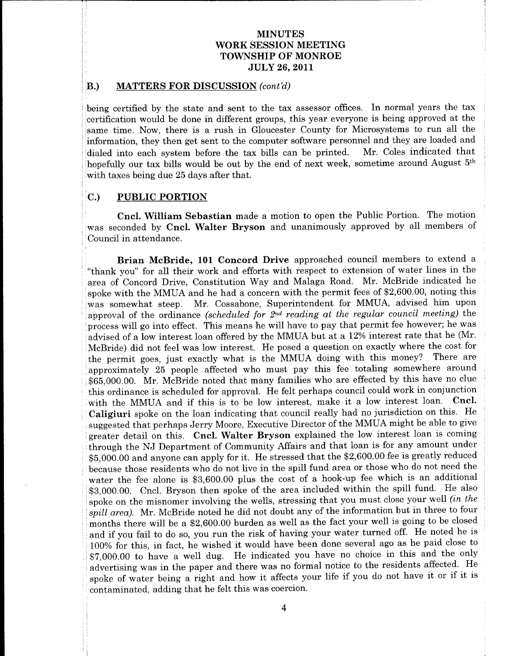## $B$ .) MATTERS FOR DISCUSSION (cont'd)

being certified by the state and sent to the tax assessor offices. In normal years the tax certification would be done in different groups, this year everyone is being approved at the same time. Now, there is a rush in Gloucester County for Microsystems to run all the

of the contract of the contract of the contract of the contract of the contract of

in the contract of the contract of

in the contract of the contract of the contract of the contract of the contract of

go and the contract of the contract of the contract of the contract of the contract of the contract of the contract of the contract of the contract of the contract of the contract of the contract of the contract of the con here we have a set of the set of the set of the set of the set of the set of the set of the set of the set of

no control de la control de la control de la control de la control de la control de la control de la control d

be a series of the contract of the contract of the contract of the contract of the contract of the contract of

on the contract of the contract of the contract of the contract of the contract of in the contract of the contract of the contract of the contract of the contract of

the contract of the contract of the contract of the contract of the contract of

to the control of the control of the control of the control of the control of the control of the control of the

the contract of the contract of the contract of the contract of the contract of the contract of the contract of

did a state of the control of the control of the control of the control of the control of

on the contract of the contract of the contract of the contract of the contract of the contract of the contract of the contract of the contract of the contract of the contract of the contract of the contract of the contrac of the contract of the contract of the contract of

is a series of the contract of the contract of the contract of the contract of the contract of the contract of

and the contract of the contract of the contract of the contract of the contract of the contract of the contract of

to the control of the control of the control of the control of the control of the control of the control of the

**NOW INTERFERENCE CONSUMERATION CONSUMERATION CONSUMERATION CONSUMERATION CONSUMERATION CONSUMERATION CONSUMERATION CONSUMERATION CONSUMERATION CONSUMERATION CONSUMERATION CONSUMERATION CONSUMERATION CONSUMERATION CONSUME NOW INTERFERENCE CONSUMERATION CONSUMERATION CONSUMERATION CONSUMERATION CONSUMERATION CONSUMERATION CONSUMERATION CONSUMERATION CONSUMERATION CONSUMERATION CONSUMERATION CONSUMERATION CONSUMERATION CONSUMERATION CONSUME NORTHER FOR INSURATION CONSUMERATION CONSUMERATION CONSUMERATION CONSUMERATION CONSUMERATION CONSUMERATION CONSUMERATION CONSUMERATION CONSUMERATION CONSUMERATION CONSUMERATION CONSUMERATION CONSUMERATION CONSUMERATION C INDEE SECTION CONSUMERS TOWARD SECTION CONSUMERATION CONSUMER TOWARD SECTION CONSUMER TO PARAMETERS TO MONEMATION CONSUMER TO MONEMATION CONSUMER TO MONEMATION CONSUMER TO MONEMATION CONSUMER TO A CONSUMER TO A CONSUMER** VOOR MENUTES TO WANTERS TO WANTER (TOWARD TOWARD TO WATER CONTROL TOWARD TO WASHINGTON TO MONEMATION CONTROL TO WANTER TO THE SECURE OF THE SECURE CONTROL TO THE SECURE CONTROL TO THE SECURE TO THE SECURE TO THE SECURE TO advertising was in the paper and there was no formal notice to the residence anciental spoke of water being a right and how it affects your life if you do not have it or if it is contaminated, adding that he felt this was **INDEE SECTION CONSUMERS TOWARD SECTION CONSUMERATION CONSUMER TOWARD SURFACE TOWARD SURFACE TOWARD SURFACE TO PARTICULAR CONSUMER CONSUMERS TO PARTICULAR CONSUMER TO PARTICULAR CONSUMER TO PARTICULAR CONSUMER TO PARTICUL INSURANTIES TOWARD STATISTS TOWARD STATISTS TOWARD STATISTS TOWARD STATIST TOWARD STATIST TOWARD STATIST TOWARD STATIST OF A SHE SEE AND STATISTS TO THE SEE AND STATISTS TO THE SEE AND STATISTS TO BE A SHE SEE AND STATIS INSURANTIES TOWARD STATISTING**<br>
TOWARD STATISTS TOWARD STATIST TOWARD STATIST TOWARD STATIST TOWARD STATIST TOWARD STATIST TOWARD STATIST OF MONEMATION CONTINUES TO MONEMATION CONTINUES TO MONEMATION CONTINUES TO MONEMAT **INSURANTIES TOWERS (FINDING SINGLES)**<br>TOWERS TOWERS (FINDING SINGLES) CONSUMER CONSUMER CONSUMER CONSUMERATION CONSUMER CONSUMER CONSUMER (FINDING SINGLES)<br>TOWERS FOR DETERMINENT OF MONDAME (FINDING SINGLES) (FINDING SIN **INNERS FOR ASSEMENTS TOWARD INTERFERENCE INTO THE CONSUMER TOWARD INTERFERENCE INTO NON-RESIST OF A SHOW AND STATE OF A SHOW AND STATE OF A SHOW AND STATE OF A SHOW AND STATE OF A SHOW AND STATE OF A SHOW AND STATE OF A INDEE SECTION CONSUMERS TOWARD SECTION CONSUMERATION CONSUMER TOWARD SURFACE TOWARD SURFACE TOWARD SURFACE TO PARTICULAR CONSUMER CONSUMERS TO PARTICULAR CONSUMER TO PARTICULAR CONSUMER TO PARTICULAR CONSUMER TO PARTICUL WORKSHOWS TOWARD STATISTS**<br>
YOUR SHOW IN THE STATIST CONDENSATION CONDENSATION CONDENSATION CONDENSATION CONDENSATION CONDENSATION CONDENSATION CONDENSATION (1) THE STATIST OF RECEIVED AND CONDENSATION CONDENSATION (1) T **INSURANTIES TOWARD STATISTS TOWARD STATISTS TOWARD STATIST CONSUMER STATISTS TOWARD STATIST TOWARD STATIST TOWARD STATIST OF A SHE SEE AND STATIST OF A SHE SEE AND STATISTS TO BUT A SHE SEE AND STATIST OF A SHE SEE AND S** NOW MEASURE TOWERS TOWERS TOWERS TOWERS TOWERS TOWERS TOWERS TOWERS TOWERS TOWERS TOWERS TOWERS TOWERS TOWERS TOWERS TOWERS TOWERS TOWERS TOWERS TOWERS TO THE SECTION OF THE SECTION CONTINUES TO PARTICULAR CONTINUES TO PA **INSURANTIES TOWARD STATISTS TOWARD STATISTS TOWARD STATIST CONSUMER STATISTS TOWARD STATIST TOWARD STATIST TOWARD STATIST OF A SHE SEE AND STATIST OF A SHE SEE AND STATISTS TO BASE AND STATISTS TO BASE AND STATISTS TO BA INSURANTIES TOWARD STATISTS TOWARD STATISTS TOWARD STATIST CONSUMER STATISTS TOWARD STATIST TOWARD STATIST TOWARD STATIST OF A SHE ASSESS TOWARD STATIST OF A SHE ASSESS TOWARD STATIST OF A SHE ASSESS TOWARD STATIST OF A** VOOR MENUTES TO WANTERS TO THE CHANGE HERE IS NOT THE CHANGE OF A 1990 CHANGE OF A 1991 CHANGE OF A 1991 CHANGE OF A 1991 CHANGE OF A 1991 CHANGE OF A 1991 CHANGE OF A 1991 CHANGE OF A 1991 CHANGE OF A 1991 CHANGE OF A 19 **NOW INTERFERENCE CONSUMERATION CONSUMERATION CONSUMERATION CONSUMERATION CONSUMERATION CONSUMERATION CONSUMERATION CONSUMERATION CONSUMERATION CONSUMERATION CONSUMERATION CONSUMERATION CONSUMERATION CONSUMERATION CONSUME** WORKSHINGTERS<br>
YOUR SERVICES<br>
YOUR SERVICES TO TONNERS TOWNSHING TO MONES TO TONNERS TO TONNERS TO TONNERS TO TONNERS TO TONNERS TO TONNERS TO TONNERS TO TONNERS TO TONNERS TO TONNERS TO TONNERS TO TONNERS TO TO TAXABLE T **INSURANTIES TOWARD STATISTS TOWARD STATISTS TOWARD STATISTS TOWARD STATIST TOWARD STATIST TOWARD STATIST TOWARD STATIST OF A SHE ASSESS TOWARD STATIST OF A SHE ASSESS TOWARD STATIST OF A SHE ASSESS TOWARD STATIST OF A ST INSURANTIES TOWARD STATISTS TOWARD STATISTS TOWARD STATISTS TOWARD STATIST TOWARD STATIST TOWARD STATIST TOWARD STATIST OF A SHE ASSESS TOWARD STATIST OF A SHE ASSESS TOWARD STATIST OF A SHE ASSESS TOWARD STATIST OF A ST INSURANTIES TOWARD STATISTS TOWARD STATISTS TOWARD STATIST CONSUMER STATISTS TOWARD STATIST TOWARD STATIST TOWARD STATIST OF A SHE SEE AND STATIST OF MANAGEMENT CONSUMER TO RECONSULT AND A SHE SEE AND STATISTIC REPORT OF WORKSHOWS TOWARD STATISTS TOWARD STATISTS TOWARD STATISTS TOWARD STATIST CONDUCTIVE TOWARD STATIST TOWARD STATIST OF A SHOW AND STATIST OF A SHOW AND STATIST ON A SHOW AND STATIST OF A SHOW AND STATIST OF A SHOW AND STAT** VOOK MENUTES TO WARRING TO MATEUT CONTROL TOWARD TO MANUTES TO MANUTES TO MANUTES TO MANUTES TO MANUTE OF TOWARD TO MANUTE OF TOWARD TO MANUTE OF THE SECOND OF THE SECOND CONTROL TO MANUTE AND A SUBMISSION CONTROL TO MANU VOOR MENUTES TO WANTEN (TOWARD STEET AND TRANSFERENCE INTO THE SECTION CONTROL TOWARD STEET AND A SURVEY ON THE SECTION OF THE SECTION CONTROL TO THE SECTION CONTROL TO THE SECTION CONTROL TO THE SECTION CONTROL TO THE SE **INSURANTIES TOWARD STATISTS TOWARD STATISTS TOWARD STATISTS TOWARD STATIST TOWARD STATIST TOWARD STATIST TOWARD STATIST OF A SHE ASSESS TOWARD STATIST OF A SHE ASSESS TOWARD STATIST OF A SHE ASSESS TOWARD STATIST OF A ST WORKSHOWS TOWARD STATISTS TOWARD STATISTS TOWARD STATISTS TOWARD STATIST CONSUMER STATISTS TOWARD STATIST TOWARD STATIST OF A SHE ASSESS TO FACT A SHE ASSESS TO A SHE ASSESS TO A SHE ASSESS TO A SHE ASSESS TO A SHE ASSES NOW INTERFERENCE CONSUMERATION CONSUMERATION CONSUMERATION CONSUMERATION CONSUMERATION CONSUMERATION CONSUMERATION CONSUMERATION CONSUMERATION CONSUMERATION CONSUMERATION CONSUMERATION CONSUMERATION CONSUMERATION CONSUME WORKSHOWS TOWARD STATISTS TOWARD STATISTS TOWARD STATISTS TOWARD STATISTS TOWARD STATIST TOWARD STATIST TOWARD STATIST OF A SHE ASSESS TOWARD STATIST OF A SHE ASSESS TOWARD STATIST OF A SHE ASSESS TOWARD STATIST OF A SHE INSURANTIES TOWARD STATISTS TOWARD STATISTS TOWARD STATISTS TOWARD STATIST TOWARD STATIST TOWARD STATIST TOWARD STATIST OF A SHE ASSESS TOWARD STATIST OF A SHE ASSESS TOWARD STATIST OF A SHE ASSESS TOWARD STATIST OF A ST** VOOR MENUTES TO WANTEN (TOWARD TOWARD TOWARD TO THE CHANNEL CONTROL TOWARD TO THE CHANNEL OF MONDATO TO THE SET OF THE CHANNEL CONTROL TO THE CHANNEL OF THE CHANNEL OF THE CHANNEL OF THE CHANNEL CONTROL TO THE CHANNEL OF **WORK SERVICES**<br>TOWNERS TOWNERS TOWNERS TOWNERS TOWNERS TOWNERS TOWNERS TOWNERS TOWNERS TOWNERS TOWNERS TOWNERS TOWNERS TOWNERS TOWNERS TOWNERS TOWNERS TOWNERS TOWNERS TOWNERS TOWNERS TOWNERS TOWNERS TOWNERS TOWNERS TOWNE **WORKSHOWS TOWARD STATISTS**<br>
YOUR SHOW IN THE STATIST CONDENSATION CONDENSATION CONDENSATION CONDENSATION CONDENSATION CONDENSATION CONDENSATION CONDENSATION (1) THE STATIST OF RECEIVING THE CONDENSATION CONDENSATION COND **WORK SERVICES**<br>TOWERS TOWERS TOWERS TOWERS TOWERS TOWERS TOWERS TOWERS TOWERS TOWERS TOWERS TOWERS TOWERS TOWERS TOWERS TOWERS TOWERS TOWERS TOWERS TOWERS TOWERS TO FACT AS 2011 27 AND 27 AND 27 AND 27 AND 27 AND 27 AND WORKSHINGTERS<br>
YOUR SEEMONDS TOWERSHING TOWERSHING TOWERSHING TOWERSHING TOWERSHING TOWERSHING TOWERSHING TOWERSHING TOWERSHING TOWERSHING TOWERSHING TOWERSHING TO NONCROLL AND A SUBMISSION CONTINUES. THE SEE WAS CONTINUE VOOR MENUTES TO WANTERS TO THE CHANGE HERE IS NOT THE CHANGE OF A 1990 CHANGE OF A 1991 CHANGE OF A 1991 CHANGE OF A 1991 CHANGE OF A 1991 CHANGE OF A 1991 CHANGE OF A 1991 CHANGE OF A 1991 CHANGE OF A 1991 CHANGE OF A 19 **WORK SERVICES**<br>TOWERS TOWERS TOWERS TOWERS TOWERS TOWERS TOWERS TOWERS TOWERS TOWERS TOWERS TOWERS TOWERS TOWERS TOWERS TOWERS TOWERS TOWERS TOWERS TOWERS TOWERS TO THE SERVICE OF THE SERVICE STATES TO BE A 1999 TOWERS T VOOR MENUTES TO WANTERS TO THE CHANGE HERE IS NOT THE CHANGE OF A 1990 CONSUMER TO WANTERS TO MONEMATION CONSUMER TO THE VALUE AND SERVICE OF THE CHANGE OF THE CHANGE IS NOT THE CHANGE OF THE CHANGE IS NOT THE CHANGE OF T **WORK SERVICES**<br>
YOUR SERVICES TOWNSHIP OF MONDENT CONDUCTIVE TOWNSHIP OF MONDENTIFY CONDUCTIVE TOWNSHIP OF MONDENTIFY CONDUCTIVE TO MONDENTIFY CONDUCTIVE TO MONDENTIFY OF MONDENTIFY OF MONDENTIFY OF MONDENTIFY OF MONDENT **NOW INTERFERENCE CONSUMERATION CONSUMERATION CONSUMERATION CONSUMERATION CONSUMERATION CONSUMERATION CONSUMERATION CONSUMERATION CONSUMERATION CONSUMERATION CONSUMERATION CONSUMERATION CONSUMERATION CONSUMERATION CONSUME WORKSHOWS TOWARD STATISTS TOWARD STATISTS TOWARD STATISTS TOWARD STATIST TOWARD STATIST TOWARD STATIST TOWARD STATIST OF A SHIP ASSESS TOWARD STATIST OF A SHIP ASSESS TOWARD STATIST OF A SHIP ASSESS TOWARD STATIST OF A S** NOW MEASURE TOWERS TOWERS TOWERS TOWERS TOWERS TOWERS TOWERS TOWERS TOWERS TOWERS TOWERS TOWERS TOWERS TOWERS TOWERS TOWERS TOWERS TOWERS TOWERS TOWERS TO THE SECTION OF THE SECTION CONTINUES TO RECOVERED TO PARTICULAR CH 10. **MATTERS POR DESIGNOS** (10.4 MONDE) (10.4 MONDE)<br> **EVALUATE AND** THE SECUTE CONTEXT (1) AND AND THE SECUTE CONTEXT (1) AND AND THE SECUTE CONTEXT (1) AND THE SECUTE CONTEXT (1) and the second of the second of the seco **INSURANTIES TOWARD STATISTS TOWARD STATISTS TOWARD STATIST CONSUMER STATISTS TOWARD STATIST TOWARD STATIST TOWARD STATIST OF A SHE SEE AND STATIST OF A SHE SEE AND STATISTS TO BE A SHE SEE AND STATISTS TO BE A SHE SEE AN WORK SERVICES**<br>TOWNERS TOWNERS TOWNERS TOWNERS TOWNERS TOWNERS TOWNERS TOWNERS TOWNERS TOWNERS TOWNERS TOWNERS TOWNERS TOWNERS TOWNERS TOWNERS TOWNERS TOWNERS TOWNERS TOWNERS TOWNERS TOWNERS TOWNERS TOWNERS TOWNERS TOWNE VOOR MENUTES TO WANTEN (TOWARD TOWARD TOWARD TO THE CHAPTER TO THE CHAPTER TO THE CHAPTER TO BUT A SURVEY OF THE CHAPTER TO THE CHAPTER TO BUT A SURVEY OF THE CHAPTER TO BUT A SURVEY OF THE CHAPTER TO BUT A SURVEY CONTINU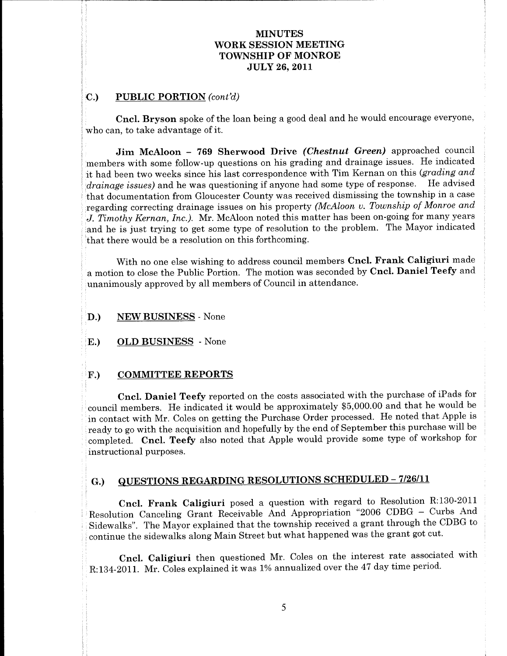## PUBLIC PORTION (cont'd)  $\overline{C}$  $\mathbf{C}$ .)

everyone

purposes

to the control of the control of the control of the control of the control of the control of the control of the

interest with the control of the control of the control of the control of the control of the control of the control of the control of the control of the control of the control of the control of the control of the control

some control of the control of the control of

that the control of the control of the control of the control of

**Cncl. Bryson** spoke of the loan being a good deal and he would encourage everyone, who can, to take advantage of it.

**WORKERS THE MANUTES**<br>
TOWNSHIT OF MONES TOWNSHIPS<br>
TOWNSHIT OF MONES TOWNSHIPS<br>
TOWNSHIT OF MONES TOWNSHIPS<br>
CRUP (*PIORICIAL* coveral)<br>
where the state of Sherwood Diver (*Cherobast* Group) approaches count<br>
contains to **INSURAL CONSUMERS THE CONSUMERED MANUSCRIPS THE CONSUMERANT CONSUMER CONSUMER CONSUMER TO PERIOD MANUSCRIPS THE CONSUMER CONSUMER CONSUMER THE CONSUMER THE CONSUMER CONSUMER THE CONSUMER CONSUMER THE CONSUMER CONSUMER TH** WORK SERIOUTES<br>
YOUR SERIOUTE TOWNSHIP OF MONTENG<br>
TOWNSHIP OF MONTENG<br>
TOWNSHIP OF MONTOIS<br>
TOWNSHIP OF MONTOIS<br>
CREAT A \$9.11<br>
CALC POSITIEN (weef)<br>
who was a state of the box being a goat calculated Created encourage e **MINUTES**<br>
ESSION MEETING<br>
ERE OF MONROE<br>
FIFE OF MONROE<br>
FIFE OF MONROE<br>
FIFE OF MONROE<br>
ELT 26, 2011<br>
and the would encourage severy<br>one, all all grading and draining issues. He indicated<br>
to general some but in Kerman WORK SERIOUTES<br>
YOUR SERIOUTE TOWNSHIP OF MONTENG<br>
YOU NESSING CONTRACT CONTRACT CONTRACT CONTRACT CONTRACT CONTRACT CONTRACT CONTRACT CONTRACT CONTRACT CONTRACT CONTRACT CONTRACT CONTRACT CONTRACT CONTRACT CONTRACT CONTR WORKSHOWS TOWATES TOWATES TOWATES TOWATES TOWATES TOWATES TOWATE AND SURFACE TOWATE ON THE SURFACE OF A SURFACE OF A SURFACE OF A SURFACE OF A SURFACE OF A SURFACE OF A SURFACE OF A SURFACE OF A SURFACE OF A SURFACE OF A WORK SERIOUTES TO THE SERIOUS CONTRACT CONTRACT CONTRACT CONTRACT CONTRACT CONTRACT CONTRACT CONTRACT CONTRACT CONTRACT CONTRACT CONTRACT CONTRACT CONTRACT CONTRACT CONTRACT CONTRACT CONTRACT CONTRACT CONTRACT CONTRACT CO **INTERTAINATES**<br> **INTERTAIN**<br> **INTERTAIN**<br> **INTERTAIN**<br> **INTERTAIN**<br> **INTERTAIN**<br> **INTERTAIN**<br> **INTERTAIN**<br> **INTERTAIN**<br> **INTERTAIN**<br> **INTERTAIN**<br> **INTERTAIN**<br> **INTERTAIN**<br> **INTERTAINATES:**<br> **INTERTAINATES:**<br> **INTERTAINAT EVALUATES ENTERTS ASSEMENTS ASSEMENTS AND MANUFACT CONTROL CONTROL CONTROL CONTROL (2)**<br> **CONTROL CONTROL** (FOR A 2001) (THE SECTION CONTROL CONTROL CONTROL CONTROL CONTROL CONTROL CONTROL CONTROL CONTROL CONTROL CONTROL WORKSHIND TOWARD TOWARD TOWARD TOWARD TOWARD TOWARD TOWARD TOWARD TOWARD TOWARD TOWARD TOWARD TOWARD TOWARD TOWARD TOWARD TOWARD TOWARD TOWARD TOWARD TOWARD TOWARD TOWARD TOWARD TOWARD TOWARD TOWARD TOWARD TOWARD TOWARD T WORKSHOWS TOWNTHYS TOWNTHYS TOWNTHYS TOWNTHYS TOWNTHYS TOWNTHYS TOWNTHYS TOWNTHYS TOWNTHYS TOWNTHYS TOWNTHYS TOWNTHYS TOWNTHYS TOWNTHYS (AREA) THE SECRET OF MATHEMATIC OF MATHEMATIC CREATION (with the mathematical countri WORKSHIND TOWARD TOWARD TOWARD TOWARD TOWARD TOWARD TOWARD TOWARD TOWARD TOWARD TOWARD TOWARD TOWARD TOWARD TOWARD TOWARD TOWARD TOWARD TOWARD TOWARD TOWARD TOWARD TOWARD TOWARD TOWARD TOWARD TOWARD TOWARD TOWARD TOWARD T WORKSHIND TOWNSHIND TOWNSHIND TOWNSHIND TOWNSHIND TOWNSHIND TOWNSHIND OF MONDAY CONTINUES (SEE ALSO LET A SUIT AND A SUIT AND A SUIT AND A SUIT AND A SUIT AND A SUIT AND A SUIT AND A SUIT AND A SUIT AND A SUIT AND A SUIT WORKSHIND TOWARD TOWARD TOWARD TOWARD TOWARD TOWARD TOWARD TOWARD TOWARD TOWARD TOWARD TOWARD TOWARD TOWARD TOWARD TOWARD TOWARD TOWARD TOWARD TOWARD TOWARD TOWARD TOWARD TOWARD TOWARD TOWARD TOWARD TOWARD TOWARD TOWARD T WORKSHOWS TOWARDS TOWARD (West 2000)<br>
TOWARD TOWARD (TOWARD TOWARD TOWARD TOWARD TOWARD TOWARD TOWARD TOWARD TOWARD (TOWARD TOWARD TOWARD)<br>
STATE AS 2011<br>
Solution and the state of the latter state and the state and the r **THE CONFIDENTIAL CONFIDENT CONFIDENTIAL** TO  $\vec{v}$  and  $\vec{v}$  and  $\vec{v}$  and  $\vec{v}$  and  $\vec{v}$  and  $\vec{v}$  and  $\vec{v}$  and  $\vec{v}$  and  $\vec{v}$  and  $\vec{v}$  and  $\vec{v}$  and  $\vec{v}$  and  $\vec{v}$  and  $\vec{v}$  and  $\vec{v}$  WORKSHOWS TOWNSHIPS TOWNSHIPS TOWNSHIPS TOWNSHIPS TOWNSHIPS TOWNSHIPS TOWNSHIPS TOWNSHIPS TOWNSHIPS TOWNSHIPS TOWNSHIPS TOWNSHIPS TOWNSHIPS TOWNSHIPS TOWNSHIPS TOWNSHIPS TOWNSHIPS TOWNSHIPS TOWNSHIPS TOWNSHIPS TOWNSHIPS T WORKSHIND TOWARD TOWARD TOWARD TOWARD TOWARD TOWARD TOWARD TOWARD TOWARD TOWARD TOWARD TOWARD TOWARD TOWARD TOWARD TOWARD TOWARD TOWARD TOWARD TOWARD TOWARD TOWARD TOWARD TOWARD TOWARD TOWARD TOWARD TOWARD TOWARD TOWARD T WORKSHOWS TOWARDS TOWARD (West 2000)<br>
TOWARD TOWARD (TOWARD TOWARD TOWARD TOWARD TOWARD TOWARD TOWARD TOWARD TOWARD (TOWARD TOWARD TOWARD)<br>
STATE AS 2011<br>
Solution and the state of the latter state and the state and the r WORKSHOWS TOWNSTROM TOWNSTROM TOWNSTROM TOWNSTROM TOWNSTROM TOWNSTROM TOWNSTROM TOWNSTROM CHANNEL STATE OF A MONETION (cover) TICK 16, 2011<br>
CD LUBLIC POPETION (cover) TICK 16, 2011<br>
THE RECORD FOR THE CREATION CONTROL ST WORKSHOWS TOWNSHIPS TOWNSHIPS TOWNSHIPS TOWNSHIPS TOWNSHIPS TOWNSHIPS TOWNSHIPS TOWNSHIPS TOWNSHIPS TOWNSHIPS TOWNSHIPS TOWNSHIPS TOWNSHIPS TOWNSHIPS TOWNSHIPS TOWNSHIPS TOWNSHIPS TOWNSHIPS TOWNSHIPS TOWNSHIPS TOWNSHIPS T CULTURE MENDENTRY (FOR THE SECTION 1998)<br>
CULTURE CONTIDENTRY (FOR THE SECTION 1998) (FOR THE SECTION 1999) (FOR THE SECTION 1999) (FOR THE SECTION 1999) (FOR THE SECTION 1999) (FOR THE SECTION 1999) (FOR THE SECTION 1999 WORKSHOWS TOWNSHIPS TOWNSHIPS TOWNSHIPS TOWNSHIPS TOWNSHIPS TOWNSHIPS TOWNSHIPS TOWNSHIPS TOWNSHIPS TOWNSHIPS TOWNSHIPS TOWNSHIPS TOWNSHIPS TOWNSHIPS TOWNSHIPS TOWNSHIPS TOWNSHIPS TOWNSHIPS TOWNSHIPS TOWNSHIPS TOWNSHIPS T **EVALUATE CONTINUES (FOR A SECURE TOWARDS)**<br> **CONTINUES** (For A SECURE 100 MONDINITY OF MONDRIFIC OF MONDRIFIC OF MONDRIFIC OF MONDRIFIC OF MONDRIFIC OF MONDRIFICATION (For A SECURE 2013)<br>
The Latter of A SECURE CONTINUES NEWTHES WORK SENSION MENTES <br>
TOWARTIES (FOR MENTES (FOR MENTES) (TOWARTIES) (TOWARTIES) (Co. PUBLIC PORTIOS (control)<br>
C. PUBLIC PORTIOS (control)<br>
who can ir lake advantage of the leads and a good done rad be would succ

E.) OLD BUSINESS - None<br>
F.) COMMITTEE REPORTS<br>
Cord. Damiel Teefy reported on the costs associated with the purchase of Pads for<br>
coursel members. He indicated it would be approximately \$5,000.00 and that he would be<br>
in